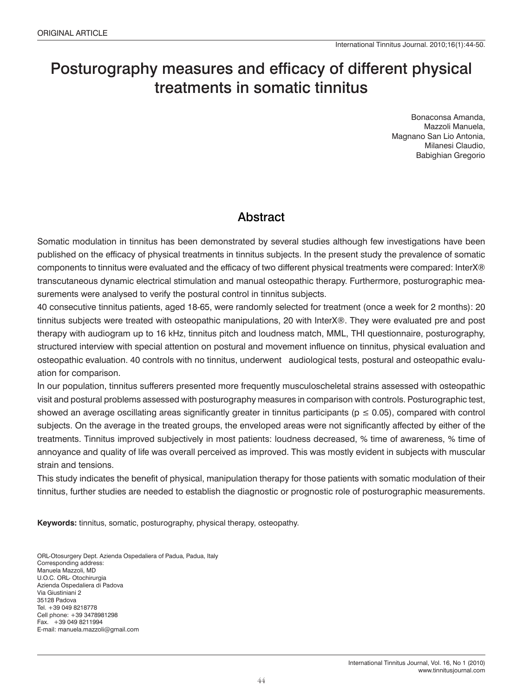# Posturography measures and efficacy of different physical treatments in somatic tinnitus

Bonaconsa Amanda, Mazzoli Manuela, Magnano San Lio Antonia, Milanesi Claudio, Babighian Gregorio

# Abstract

Somatic modulation in tinnitus has been demonstrated by several studies although few investigations have been published on the efficacy of physical treatments in tinnitus subjects. In the present study the prevalence of somatic components to tinnitus were evaluated and the efficacy of two different physical treatments were compared: InterX® transcutaneous dynamic electrical stimulation and manual osteopathic therapy. Furthermore, posturographic measurements were analysed to verify the postural control in tinnitus subjects.

40 consecutive tinnitus patients, aged 18-65, were randomly selected for treatment (once a week for 2 months): 20 tinnitus subjects were treated with osteopathic manipulations, 20 with InterX®. They were evaluated pre and post therapy with audiogram up to 16 kHz, tinnitus pitch and loudness match, MML, THI questionnaire, posturography, structured interview with special attention on postural and movement influence on tinnitus, physical evaluation and osteopathic evaluation. 40 controls with no tinnitus, underwent audiological tests, postural and osteopathic evaluation for comparison.

In our population, tinnitus sufferers presented more frequently musculoscheletal strains assessed with osteopathic visit and postural problems assessed with posturography measures in comparison with controls. Posturographic test, showed an average oscillating areas significantly greater in tinnitus participants ( $p \le 0.05$ ), compared with control subjects. On the average in the treated groups, the enveloped areas were not significantly affected by either of the treatments. Tinnitus improved subjectively in most patients: loudness decreased, % time of awareness, % time of annoyance and quality of life was overall perceived as improved. This was mostly evident in subjects with muscular strain and tensions.

This study indicates the benefit of physical, manipulation therapy for those patients with somatic modulation of their tinnitus, further studies are needed to establish the diagnostic or prognostic role of posturographic measurements.

**Keywords:** tinnitus, somatic, posturography, physical therapy, osteopathy.

ORL-Otosurgery Dept. Azienda Ospedaliera of Padua, Padua, Italy Corresponding address: Manuela Mazzoli, MD U.O.C. ORL- Otochirurgia Azienda Ospedaliera di Padova Via Giustiniani 2 35128 Padova Tel. +39 049 8218778 Cell phone: +39 3478981298 Fax. +39 049 8211994 E-mail: manuela.mazzoli@gmail.com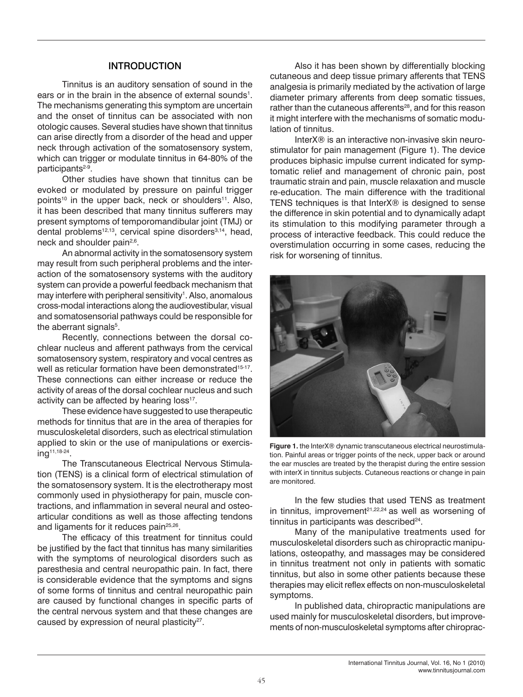### INTRODUCTION

Tinnitus is an auditory sensation of sound in the ears or in the brain in the absence of external sounds<sup>1</sup>. The mechanisms generating this symptom are uncertain and the onset of tinnitus can be associated with non otologic causes. Several studies have shown that tinnitus can arise directly from a disorder of the head and upper neck through activation of the somatosensory system, which can trigger or modulate tinnitus in 64-80% of the participants<sup>2-9</sup>.

Other studies have shown that tinnitus can be evoked or modulated by pressure on painful trigger points<sup>10</sup> in the upper back, neck or shoulders<sup>11</sup>. Also, it has been described that many tinnitus sufferers may present symptoms of temporomandibular joint (TMJ) or dental problems<sup>12,13</sup>, cervical spine disorders<sup>3,14</sup>, head, neck and shoulder pain<sup>2,6</sup>.

An abnormal activity in the somatosensory system may result from such peripheral problems and the interaction of the somatosensory systems with the auditory system can provide a powerful feedback mechanism that may interfere with peripheral sensitivity<sup>1</sup>. Also, anomalous cross-modal interactions along the audiovestibular, visual and somatosensorial pathways could be responsible for the aberrant signals<sup>5</sup>.

Recently, connections between the dorsal cochlear nucleus and afferent pathways from the cervical somatosensory system, respiratory and vocal centres as well as reticular formation have been demonstrated<sup>15-17</sup>. These connections can either increase or reduce the activity of areas of the dorsal cochlear nucleus and such activity can be affected by hearing loss<sup>17</sup>.

These evidence have suggested to use therapeutic methods for tinnitus that are in the area of therapies for musculoskeletal disorders, such as electrical stimulation applied to skin or the use of manipulations or exercising11,18-24.

The Transcutaneous Electrical Nervous Stimulation (TENS) is a clinical form of electrical stimulation of the somatosensory system. It is the electrotherapy most commonly used in physiotherapy for pain, muscle contractions, and inflammation in several neural and osteoarticular conditions as well as those affecting tendons and ligaments for it reduces pain<sup>25,26</sup>.

The efficacy of this treatment for tinnitus could be justified by the fact that tinnitus has many similarities with the symptoms of neurological disorders such as paresthesia and central neuropathic pain. In fact, there is considerable evidence that the symptoms and signs of some forms of tinnitus and central neuropathic pain are caused by functional changes in specific parts of the central nervous system and that these changes are caused by expression of neural plasticity<sup>27</sup>.

Also it has been shown by differentially blocking cutaneous and deep tissue primary afferents that TENS analgesia is primarily mediated by the activation of large diameter primary afferents from deep somatic tissues, rather than the cutaneous afferents<sup>28</sup>, and for this reason it might interfere with the mechanisms of somatic modulation of tinnitus.

InterX® is an interactive non-invasive skin neurostimulator for pain management (Figure 1). The device produces biphasic impulse current indicated for symptomatic relief and management of chronic pain, post traumatic strain and pain, muscle relaxation and muscle re-education. The main difference with the traditional TENS techniques is that InterX® is designed to sense the difference in skin potential and to dynamically adapt its stimulation to this modifying parameter through a process of interactive feedback. This could reduce the overstimulation occurring in some cases, reducing the risk for worsening of tinnitus.



**Figure 1.** the InterX® dynamic transcutaneous electrical neurostimulation. Painful areas or trigger points of the neck, upper back or around the ear muscles are treated by the therapist during the entire session with interX in tinnitus subjects. Cutaneous reactions or change in pain are monitored.

In the few studies that used TENS as treatment in tinnitus, improvement<sup>21,22,24</sup> as well as worsening of tinnitus in participants was described<sup>24</sup>.

Many of the manipulative treatments used for musculoskeletal disorders such as chiropractic manipulations, osteopathy, and massages may be considered in tinnitus treatment not only in patients with somatic tinnitus, but also in some other patients because these therapies may elicit reflex effects on non-musculoskeletal symptoms.

In published data, chiropractic manipulations are used mainly for musculoskeletal disorders, but improvements of non-musculoskeletal symptoms after chiroprac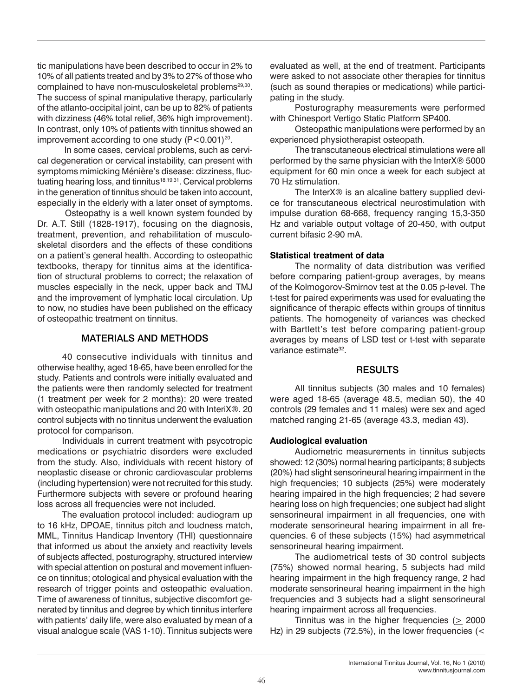tic manipulations have been described to occur in 2% to 10% of all patients treated and by 3% to 27% of those who complained to have non-musculoskeletal problems<sup>29,30</sup>. The success of spinal manipulative therapy, particularly of the atlanto-occipital joint, can be up to 82% of patients with dizziness (46% total relief, 36% high improvement). In contrast, only 10% of patients with tinnitus showed an improvement according to one study  $(P<0.001)^{20}$ .

 In some cases, cervical problems, such as cervical degeneration or cervical instability, can present with symptoms mimicking Ménière's disease: dizziness, fluctuating hearing loss, and tinnitus<sup>18,19,31</sup>. Cervical problems in the generation of tinnitus should be taken into account, especially in the elderly with a later onset of symptoms.

 Osteopathy is a well known system founded by Dr. A.T. Still (1828-1917), focusing on the diagnosis, treatment, prevention, and rehabilitation of musculoskeletal disorders and the effects of these conditions on a patient's general health. According to osteopathic textbooks, therapy for tinnitus aims at the identification of structural problems to correct; the relaxation of muscles especially in the neck, upper back and TMJ and the improvement of lymphatic local circulation. Up to now, no studies have been published on the efficacy of osteopathic treatment on tinnitus.

### MATERIALS AND METHODS

40 consecutive individuals with tinnitus and otherwise healthy, aged 18-65, have been enrolled for the study. Patients and controls were initially evaluated and the patients were then randomly selected for treatment (1 treatment per week for 2 months): 20 were treated with osteopathic manipulations and 20 with InteriX®. 20 control subjects with no tinnitus underwent the evaluation protocol for comparison.

Individuals in current treatment with psycotropic medications or psychiatric disorders were excluded from the study. Also, individuals with recent history of neoplastic disease or chronic cardiovascular problems (including hypertension) were not recruited for this study. Furthermore subjects with severe or profound hearing loss across all frequencies were not included.

The evaluation protocol included: audiogram up to 16 kHz, DPOAE, tinnitus pitch and loudness match, MML, Tinnitus Handicap Inventory (THI) questionnaire that informed us about the anxiety and reactivity levels of subjects affected, posturography, structured interview with special attention on postural and movement influence on tinnitus; otological and physical evaluation with the research of trigger points and osteopathic evaluation. Time of awareness of tinnitus, subjective discomfort generated by tinnitus and degree by which tinnitus interfere with patients' daily life, were also evaluated by mean of a visual analogue scale (VAS 1-10). Tinnitus subjects were

evaluated as well, at the end of treatment. Participants were asked to not associate other therapies for tinnitus (such as sound therapies or medications) while participating in the study.

Posturography measurements were performed with Chinesport Vertigo Static Platform SP400.

Osteopathic manipulations were performed by an experienced physiotherapist osteopath.

The transcutaneous electrical stimulations were all performed by the same physician with the InterX® 5000 equipment for 60 min once a week for each subject at 70 Hz stimulation.

The InterX® is an alcaline battery supplied device for transcutaneous electrical neurostimulation with impulse duration 68-668, frequency ranging 15,3-350 Hz and variable output voltage of 20-450, with output current bifasic 2-90 mA.

#### **Statistical treatment of data**

The normality of data distribution was verified before comparing patient-group averages, by means of the Kolmogorov-Smirnov test at the 0.05 p-level. The t-test for paired experiments was used for evaluating the significance of therapic effects within groups of tinnitus patients. The homogeneity of variances was checked with Bartlett's test before comparing patient-group averages by means of LSD test or t-test with separate variance estimate<sup>32</sup>.

#### **RESULTS**

All tinnitus subjects (30 males and 10 females) were aged 18-65 (average 48.5, median 50), the 40 controls (29 females and 11 males) were sex and aged matched ranging 21-65 (average 43.3, median 43).

#### **Audiological evaluation**

Audiometric measurements in tinnitus subjects showed: 12 (30%) normal hearing participants; 8 subjects (20%) had slight sensorineural hearing impairment in the high frequencies; 10 subjects (25%) were moderately hearing impaired in the high frequencies; 2 had severe hearing loss on high frequencies; one subject had slight sensorineural impairment in all frequencies, one with moderate sensorineural hearing impairment in all frequencies. 6 of these subjects (15%) had asymmetrical sensorineural hearing impairment.

The audiometrical tests of 30 control subjects (75%) showed normal hearing, 5 subjects had mild hearing impairment in the high frequency range, 2 had moderate sensorineural hearing impairment in the high frequencies and 3 subjects had a slight sensorineural hearing impairment across all frequencies.

Tinnitus was in the higher frequencies (> 2000 Hz) in 29 subjects (72.5%), in the lower frequencies (<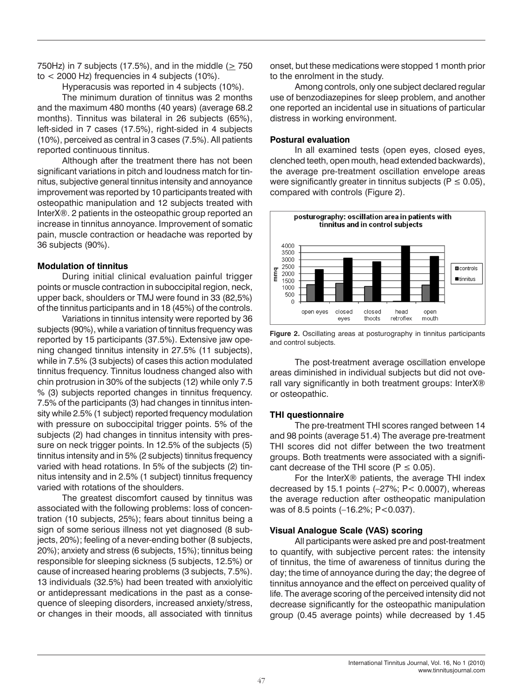750Hz) in 7 subjects (17.5%), and in the middle ( $> 750$ to < 2000 Hz) frequencies in 4 subjects (10%).

Hyperacusis was reported in 4 subjects (10%).

The minimum duration of tinnitus was 2 months and the maximum 480 months (40 years) (average 68.2 months). Tinnitus was bilateral in 26 subjects (65%), left-sided in 7 cases (17.5%), right-sided in 4 subjects (10%), perceived as central in 3 cases (7.5%). All patients reported continuous tinnitus.

Although after the treatment there has not been significant variations in pitch and loudness match for tinnitus, subjective general tinnitus intensity and annoyance improvement was reported by 10 participants treated with osteopathic manipulation and 12 subjects treated with InterX®. 2 patients in the osteopathic group reported an increase in tinnitus annoyance. Improvement of somatic pain, muscle contraction or headache was reported by 36 subjects (90%).

#### **Modulation of tinnitus**

During initial clinical evaluation painful trigger points or muscle contraction in suboccipital region, neck, upper back, shoulders or TMJ were found in 33 (82,5%) of the tinnitus participants and in 18 (45%) of the controls.

Variations in tinnitus intensity were reported by 36 subjects (90%), while a variation of tinnitus frequency was reported by 15 participants (37.5%). Extensive jaw opening changed tinnitus intensity in 27.5% (11 subjects), while in 7.5% (3 subjects) of cases this action modulated tinnitus frequency. Tinnitus loudness changed also with chin protrusion in 30% of the subjects (12) while only 7.5 % (3) subjects reported changes in tinnitus frequency. 7.5% of the participants (3) had changes in tinnitus intensity while 2.5% (1 subject) reported frequency modulation with pressure on suboccipital trigger points. 5% of the subjects (2) had changes in tinnitus intensity with pressure on neck trigger points. In 12.5% of the subjects (5) tinnitus intensity and in 5% (2 subjects) tinnitus frequency varied with head rotations. In 5% of the subjects (2) tinnitus intensity and in 2.5% (1 subject) tinnitus frequency varied with rotations of the shoulders.

The greatest discomfort caused by tinnitus was associated with the following problems: loss of concentration (10 subjects, 25%); fears about tinnitus being a sign of some serious illness not yet diagnosed (8 subjects, 20%); feeling of a never-ending bother (8 subjects, 20%); anxiety and stress (6 subjects, 15%); tinnitus being responsible for sleeping sickness (5 subjects, 12.5%) or cause of increased hearing problems (3 subjects, 7.5%). 13 individuals (32.5%) had been treated with anxiolyitic or antidepressant medications in the past as a consequence of sleeping disorders, increased anxiety/stress, or changes in their moods, all associated with tinnitus

onset, but these medications were stopped 1 month prior to the enrolment in the study.

Among controls, only one subject declared regular use of benzodiazepines for sleep problem, and another one reported an incidental use in situations of particular distress in working environment.

#### **Postural evaluation**

In all examined tests (open eyes, closed eyes, clenched teeth, open mouth, head extended backwards), the average pre-treatment oscillation envelope areas were significantly greater in tinnitus subjects ( $P \le 0.05$ ), compared with controls (Figure 2).





The post-treatment average oscillation envelope areas diminished in individual subjects but did not overall vary significantly in both treatment groups: InterX® or osteopathic.

# **THI questionnaire**

The pre-treatment THI scores ranged between 14 and 98 points (average 51.4) The average pre-treatment THI scores did not differ between the two treatment groups. Both treatments were associated with a significant decrease of the THI score ( $P \le 0.05$ ).

For the InterX® patients, the average THI index decreased by 15.1 points (–27%; P< 0.0007), whereas the average reduction after ostheopatic manipulation was of 8.5 points (-16.2%; P<0.037).

# **Visual Analogue Scale (VAS) scoring**

All participants were asked pre and post-treatment to quantify, with subjective percent rates: the intensity of tinnitus, the time of awareness of tinnitus during the day; the time of annoyance during the day; the degree of tinnitus annoyance and the effect on perceived quality of life. The average scoring of the perceived intensity did not decrease significantly for the osteopathic manipulation group (0.45 average points) while decreased by 1.45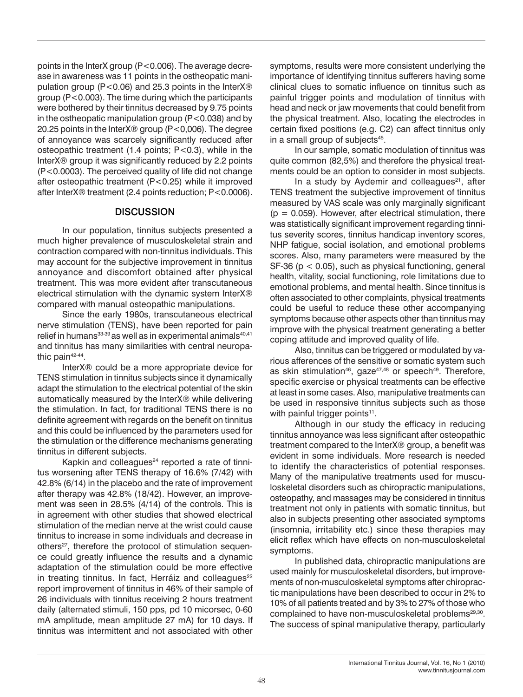points in the InterX group (P<0.006). The average decrease in awareness was 11 points in the ostheopatic manipulation group (P<0.06) and 25.3 points in the InterX® group (P<0.003). The time during which the participants were bothered by their tinnitus decreased by 9.75 points in the ostheopatic manipulation group (P<0.038) and by 20.25 points in the InterX® group (P<0,006). The degree of annoyance was scarcely significantly reduced after osteopathic treatment (1.4 points; P<0.3), while in the InterX® group it was significantly reduced by 2.2 points (P<0.0003). The perceived quality of life did not change after osteopathic treatment (P<0.25) while it improved after InterX® treatment (2.4 points reduction; P<0.0006).

#### **DISCUSSION**

In our population, tinnitus subjects presented a much higher prevalence of musculoskeletal strain and contraction compared with non-tinnitus individuals. This may account for the subjective improvement in tinnitus annoyance and discomfort obtained after physical treatment. This was more evident after transcutaneous electrical stimulation with the dynamic system InterX® compared with manual osteopathic manipulations.

Since the early 1980s, transcutaneous electrical nerve stimulation (TENS), have been reported for pain relief in humans<sup>33-39</sup> as well as in experimental animals<sup>40,41</sup> and tinnitus has many similarities with central neuropathic pain<sup>42-44</sup>.

InterX® could be a more appropriate device for TENS stimulation in tinnitus subjects since it dynamically adapt the stimulation to the electrical potential of the skin automatically measured by the InterX® while delivering the stimulation. In fact, for traditional TENS there is no definite agreement with regards on the benefit on tinnitus and this could be influenced by the parameters used for the stimulation or the difference mechanisms generating tinnitus in different subjects.

Kapkin and colleagues $24$  reported a rate of tinnitus worsening after TENS therapy of 16.6% (7/42) with 42.8% (6/14) in the placebo and the rate of improvement after therapy was 42.8% (18/42). However, an improvement was seen in 28.5% (4/14) of the controls. This is in agreement with other studies that showed electrical stimulation of the median nerve at the wrist could cause tinnitus to increase in some individuals and decrease in others<sup>27</sup>, therefore the protocol of stimulation sequence could greatly influence the results and a dynamic adaptation of the stimulation could be more effective in treating tinnitus. In fact, Herráiz and colleagues<sup>22</sup> report improvement of tinnitus in 46% of their sample of 26 individuals with tinnitus receiving 2 hours treatment daily (alternated stimuli, 150 pps, pd 10 micorsec, 0-60 mA amplitude, mean amplitude 27 mA) for 10 days. If tinnitus was intermittent and not associated with other

symptoms, results were more consistent underlying the importance of identifying tinnitus sufferers having some clinical clues to somatic influence on tinnitus such as painful trigger points and modulation of tinnitus with head and neck or jaw movements that could benefit from the physical treatment. Also, locating the electrodes in certain fixed positions (e.g. C2) can affect tinnitus only in a small group of subjects<sup>45</sup>.

In our sample, somatic modulation of tinnitus was quite common (82,5%) and therefore the physical treatments could be an option to consider in most subjects.

In a study by Aydemir and colleagues<sup>21</sup>, after TENS treatment the subjective improvement of tinnitus measured by VAS scale was only marginally significant  $(p = 0.059)$ . However, after electrical stimulation, there was statistically significant improvement regarding tinnitus severity scores, tinnitus handicap inventory scores, NHP fatigue, social isolation, and emotional problems scores. Also, many parameters were measured by the SF-36 (p < 0.05), such as physical functioning, general health, vitality, social functioning, role limitations due to emotional problems, and mental health. Since tinnitus is often associated to other complaints, physical treatments could be useful to reduce these other accompanying symptoms because other aspects other than tinnitus may improve with the physical treatment generating a better coping attitude and improved quality of life.

Also, tinnitus can be triggered or modulated by various afferences of the sensitive or somatic system such as skin stimulation<sup>46</sup>, gaze<sup>47,48</sup> or speech<sup>49</sup>. Therefore, specific exercise or physical treatments can be effective at least in some cases. Also, manipulative treatments can be used in responsive tinnitus subjects such as those with painful trigger points $11$ .

Although in our study the efficacy in reducing tinnitus annoyance was less significant after osteopathic treatment compared to the InterX® group, a benefit was evident in some individuals. More research is needed to identify the characteristics of potential responses. Many of the manipulative treatments used for musculoskeletal disorders such as chiropractic manipulations, osteopathy, and massages may be considered in tinnitus treatment not only in patients with somatic tinnitus, but also in subjects presenting other associated symptoms (insomnia, irritability etc.) since these therapies may elicit reflex which have effects on non-musculoskeletal symptoms.

In published data, chiropractic manipulations are used mainly for musculoskeletal disorders, but improvements of non-musculoskeletal symptoms after chiropractic manipulations have been described to occur in 2% to 10% of all patients treated and by 3% to 27% of those who complained to have non-musculoskeletal problems<sup>29,30</sup>. The success of spinal manipulative therapy, particularly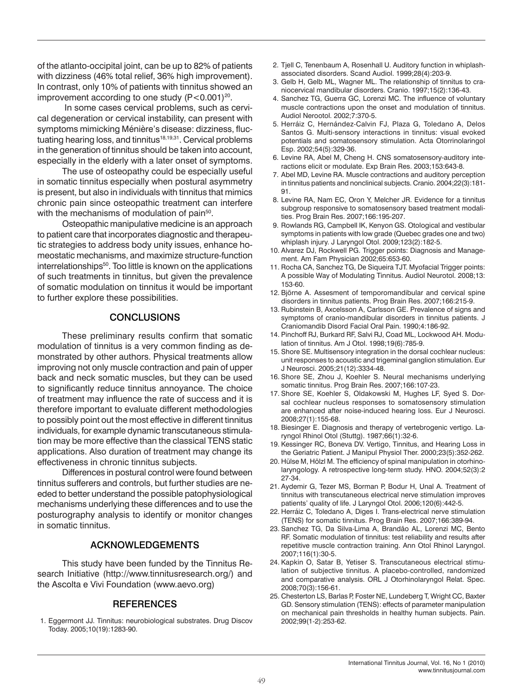of the atlanto-occipital joint, can be up to 82% of patients with dizziness (46% total relief, 36% high improvement). In contrast, only 10% of patients with tinnitus showed an improvement according to one study  $(P<0.001)^{20}$ .

 In some cases cervical problems, such as cervical degeneration or cervical instability, can present with symptoms mimicking Ménière's disease: dizziness, fluctuating hearing loss, and tinnitus<sup>18,19,31</sup>. Cervical problems in the generation of tinnitus should be taken into account, especially in the elderly with a later onset of symptoms.

The use of osteopathy could be especially useful in somatic tinnitus especially when postural asymmetry is present, but also in individuals with tinnitus that mimics chronic pain since osteopathic treatment can interfere with the mechanisms of modulation of pain<sup>50</sup>.

Osteopathic manipulative medicine is an approach to patient care that incorporates diagnostic and therapeutic strategies to address body unity issues, enhance homeostatic mechanisms, and maximize structure-function interrelationships<sup>50</sup>. Too little is known on the applications of such treatments in tinnitus, but given the prevalence of somatic modulation on tinnitus it would be important to further explore these possibilities.

# **CONCLUSIONS**

These preliminary results confirm that somatic modulation of tinnitus is a very common finding as demonstrated by other authors. Physical treatments allow improving not only muscle contraction and pain of upper back and neck somatic muscles, but they can be used to significantly reduce tinnitus annoyance. The choice of treatment may influence the rate of success and it is therefore important to evaluate different methodologies to possibly point out the most effective in different tinnitus individuals, for example dynamic transcutaneous stimulation may be more effective than the classical TENS static applications. Also duration of treatment may change its effectiveness in chronic tinnitus subjects.

Differences in postural control were found between tinnitus sufferers and controls, but further studies are needed to better understand the possible patophysiological mechanisms underlying these differences and to use the posturography analysis to identify or monitor changes in somatic tinnitus.

# ACKNOWLEDGEMENTS

This study have been funded by the Tinnitus Research Initiative (http://www.tinnitusresearch.org/) and the Ascolta e Vivi Foundation (www.aevo.org)

#### **REFERENCES**

1. Eggermont JJ. Tinnitus: neurobiological substrates. Drug Discov Today. 2005;10(19):1283-90.

- 2. Tjell C, Tenenbaum A, Rosenhall U. Auditory function in whiplashassociated disorders. Scand Audiol. 1999;28(4):203-9.
- 3. Gelb H, Gelb ML, Wagner ML. The relationship of tinnitus to craniocervical mandibular disorders. Cranio. 1997;15(2):136-43.
- 4. Sanchez TG, Guerra GC, Lorenzi MC. The influence of voluntary muscle contractions upon the onset and modulation of tinnitus. Audiol Nerootol. 2002;7:370-5.
- 5. Herráiz C, Hernández-Calvin FJ, Plaza G, Toledano A, Delos Santos G. Multi-sensory interactions in tinnitus: visual evoked potentials and somatosensory stimulation. Acta Otorrinolaringol Esp. 2002;54(5):329-36.
- 6. Levine RA, Abel M, Cheng H. CNS somatosensory-auditory interactions elicit or modulate. Exp Brain Res. 2003;153:643-8.
- 7. Abel MD, Levine RA. Muscle contractions and auditory perception in tinnitus patients and nonclinical subjects. Cranio. 2004;22(3):181- 91.
- 8. Levine RA, Nam EC, Oron Y, Melcher JR. Evidence for a tinnitus subgroup responsive to somatosensory based treatment modalities. Prog Brain Res. 2007;166:195-207.
- 9. Rowlands RG, Campbell IK, Kenyon GS. Otological and vestibular symptoms in patients with low grade (Quebec grades one and two) whiplash injury. J Laryngol Otol. 2009;123(2):182-5.
- 10. Alvarez DJ, Rockwell PG. Trigger points: Diagnosis and Management. Am Fam Physician 2002;65:653-60.
- 11. Rocha CA, Sanchez TG, De Siqueira TJT. Myofacial Trigger points: A possible Way of Modulating Tinnitus. Audiol Neurotol. 2008;13: 153-60.
- 12. Björne A. Assesment of temporomandibular and cervical spine disorders in tinnitus patients. Prog Brain Res. 2007;166:215-9.
- 13. Rubinstein B, Axcelsson A, Carlsson GE. Prevalence of signs and symptoms of cranio-mandibular disorders in tinnitus patients. J Craniomandib Disord Facial Oral Pain. 1990;4:186-92.
- 14. Pinchoff RJ, Burkard RF, Salvi RJ, Coad ML, Lockwood AH. Modulation of tinnitus. Am J Otol. 1998;19(6):785-9.
- 15. Shore SE. Multisensory integration in the dorsal cochlear nucleus: unit responses to acoustic and trigeminal ganglion stimulation. Eur J Neurosci. 2005;21(12):3334-48.
- 16. Shore SE, Zhou J, Koehler S. Neural mechanisms underlying somatic tinnitus. Prog Brain Res. 2007;166:107-23.
- 17. Shore SE, Koehler S, Oldakowski M, Hughes LF, Syed S. Dorsal cochlear nucleus responses to somatosensory stimulation are enhanced after noise-induced hearing loss. Eur J Neurosci. 2008;27(1):155-68.
- 18. Biesinger E. Diagnosis and therapy of vertebrogenic vertigo. Laryngol Rhinol Otol (Stuttg). 1987;66(1):32-6.
- 19. Kessinger RC, Boneva DV. Vertigo, Tinnitus, and Hearing Loss in the Geriatric Patient. J Manipul Physiol Ther. 2000;23(5):352-262.
- 20. Hülse M, Hölzl M. The efficiency of spinal manipulation in otorhinolaryngology. A retrospective long-term study. HNO. 2004;52(3):2 27-34.
- 21. Aydemir G, Tezer MS, Borman P, Bodur H, Unal A. Treatment of tinnitus with transcutaneous electrical nerve stimulation improves patients' quality of life. J Laryngol Otol. 2006;120(6):442-5.
- 22. Herráiz C, Toledano A, Diges I. Trans-electrical nerve stimulation (TENS) for somatic tinnitus. Prog Brain Res. 2007;166:389-94.
- 23. Sanchez TG, Da Silva-Lima A, Brandão AL, Lorenzi MC, Bento RF. Somatic modulation of tinnitus: test reliability and results after repetitive muscle contraction training. Ann Otol Rhinol Laryngol. 2007;116(1):30-5.
- 24. Kapkin O, Satar B, Yetiser S. Transcutaneous electrical stimulation of subjective tinnitus. A placebo-controlled, randomized and comparative analysis. ORL J Otorhinolaryngol Relat. Spec. 2008;70(3):156-61.
- 25. Chesterton LS, Barlas P, Foster NE, Lundeberg T, Wright CC, Baxter GD. Sensory stimulation (TENS): effects of parameter manipulation on mechanical pain thresholds in healthy human subjects. Pain. 2002;99(1-2):253-62.